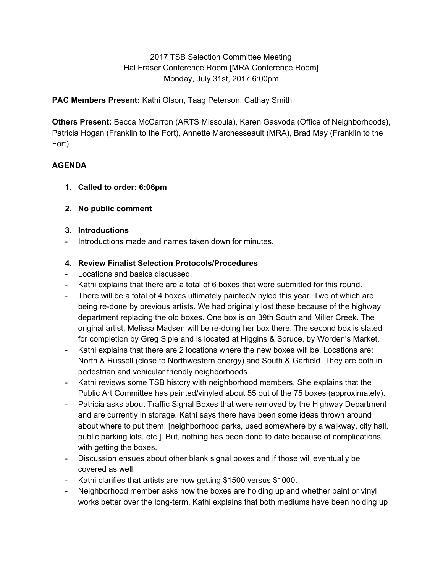2017 TSB Selection Committee Meeting Hal Fraser Conference Room [MRA Conference Room] Monday, July 31st, 2017 6:00pm

**PAC Members Present:** Kathi Olson, Taag Peterson, Cathay Smith

**Others Present:** Becca McCarron (ARTS Missoula), Karen Gasvoda (Office of Neighborhoods), Patricia Hogan (Franklin to the Fort), Annette Marchesseault (MRA), Brad May (Franklin to the Fort)

# **AGENDA**

- **1. Called to order: 6:06pm**
- **2. No public comment**

### **3. Introductions**

Introductions made and names taken down for minutes.

# **4. Review Finalist Selection Protocols/Procedures**

- Locations and basics discussed.
- Kathi explains that there are a total of 6 boxes that were submitted for this round.
- There will be a total of 4 boxes ultimately painted/vinyled this year. Two of which are being re-done by previous artists. We had originally lost these because of the highway department replacing the old boxes. One box is on 39th South and Miller Creek. The original artist, Melissa Madsen will be re-doing her box there. The second box is slated for completion by Greg Siple and is located at Higgins & Spruce, by Worden's Market.
- Kathi explains that there are 2 locations where the new boxes will be. Locations are: North & Russell (close to Northwestern energy) and South & Garfield. They are both in pedestrian and vehicular friendly neighborhoods.
- Kathi reviews some TSB history with neighborhood members. She explains that the Public Art Committee has painted/vinyled about 55 out of the 75 boxes (approximately).
- Patricia asks about Traffic Signal Boxes that were removed by the Highway Department and are currently in storage. Kathi says there have been some ideas thrown around about where to put them: [neighborhood parks, used somewhere by a walkway, city hall, public parking lots, etc.]. But, nothing has been done to date because of complications with getting the boxes.
- Discussion ensues about other blank signal boxes and if those will eventually be covered as well.
- Kathi clarifies that artists are now getting \$1500 versus \$1000.
- Neighborhood member asks how the boxes are holding up and whether paint or vinyl works better over the long-term. Kathi explains that both mediums have been holding up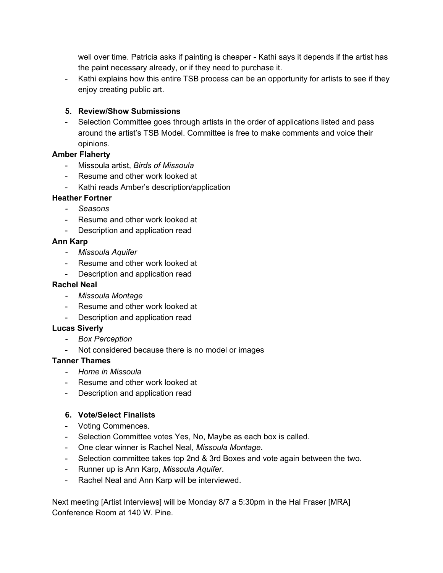well over time. Patricia asks if painting is cheaper - Kathi says it depends if the artist has the paint necessary already, or if they need to purchase it.

- Kathi explains how this entire TSB process can be an opportunity for artists to see if they enjoy creating public art.

# **5. Review/Show Submissions**

- Selection Committee goes through artists in the order of applications listed and pass around the artist's TSB Model. Committee is free to make comments and voice their opinions.

### **Amber Flaherty**

- Missoula artist, *Birds of Missoula*
- Resume and other work looked at
- Kathi reads Amber's description/application

#### **Heather Fortner**

- *- Seasons*
- Resume and other work looked at
- Description and application read

#### **Ann Karp**

- *- Missoula Aquifer*
- Resume and other work looked at
- Description and application read

### **Rachel Neal**

- *- Missoula Montage*
- Resume and other work looked at
- Description and application read

#### **Lucas Siverly**

- *- Box Perception*
- Not considered because there is no model or images

#### **Tanner Thames**

- *- Home in Missoula*
- Resume and other work looked at
- Description and application read

#### **6. Vote/Select Finalists**

- Voting Commences.
- Selection Committee votes Yes, No, Maybe as each box is called.
- One clear winner is Rachel Neal, *Missoula Montage*.
- Selection committee takes top 2nd & 3rd Boxes and vote again between the two.
- Runner up is Ann Karp, *Missoula Aquifer*.
- Rachel Neal and Ann Karp will be interviewed.

Next meeting [Artist Interviews] will be Monday 8/7 a 5:30pm in the Hal Fraser [MRA] Conference Room at 140 W. Pine.